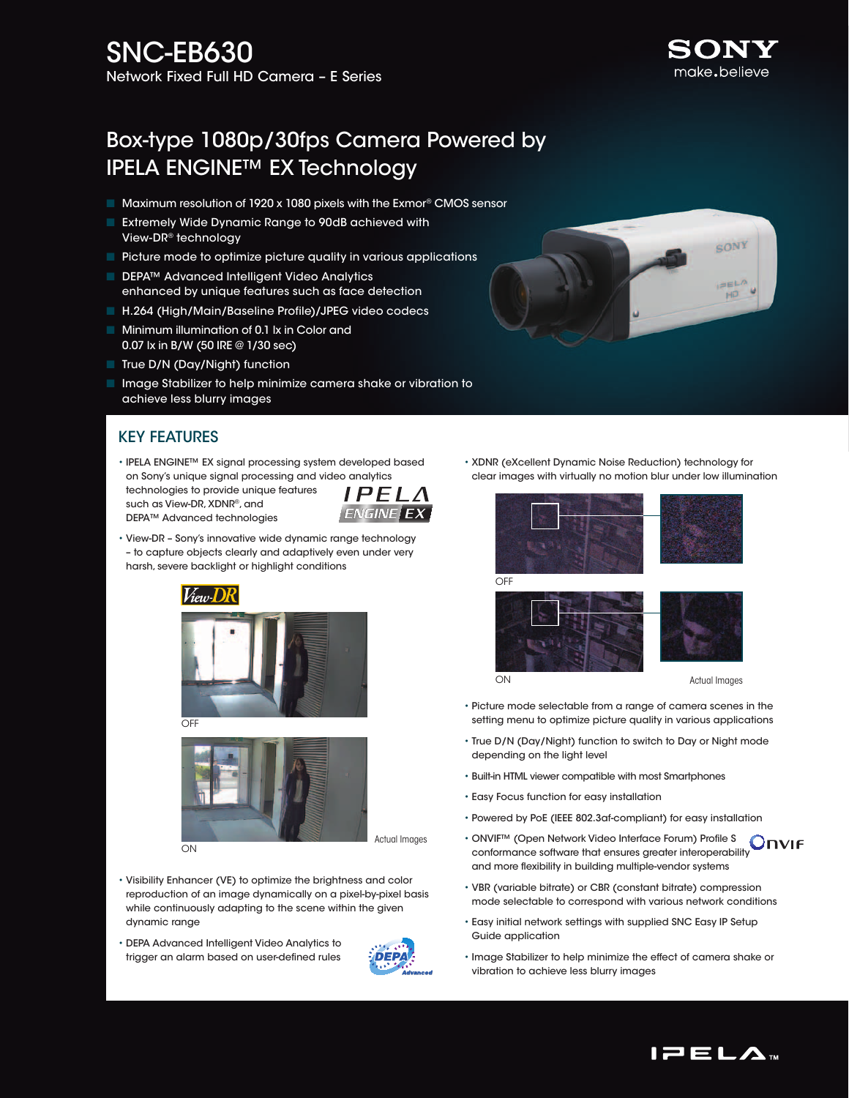# Box-type 1080p/30fps Camera Powered by IPELA ENGINE™ EX Technology

- Maximum resolution of 1920 x 1080 pixels with the Exmor<sup>®</sup> CMOS sensor
- **Extremely Wide Dynamic Range to 90dB achieved with** View-DR® technology
- $\blacksquare$  Picture mode to optimize picture quality in various applications
- DEPA™ Advanced Intelligent Video Analytics enhanced by unique features such as face detection
- H.264 (High/Main/Baseline Profile)/JPEG video codecs
- **n** Minimum illumination of 0.1 lx in Color and 0.07 lx in B/W (50 IRE @ 1/30 sec)
- True D/N (Day/Night) function

such as View-DR, XDNR®, and DEPA™ Advanced technologies

**n** Image Stabilizer to help minimize camera shake or vibration to achieve less blurry images

#### Key Features

• IPELA ENGINE™ EX signal processing system developed based on Sony's unique signal processing and video analytics technologies to provide unique features



• View-DR – Sony's innovative wide dynamic range technology – to capture objects clearly and adaptively even under very harsh, severe backlight or highlight conditions



OFF



- Visibility Enhancer (VE) to optimize the brightness and color reproduction of an image dynamically on a pixel-by-pixel basis while continuously adapting to the scene within the given dynamic range
- DEPA Advanced Intelligent Video Analytics to trigger an alarm based on user-defined rules



• XDNR (eXcellent Dynamic Noise Reduction) technology for clear images with virtually no motion blur under low illumination





- Picture mode selectable from a range of camera scenes in the setting menu to optimize picture quality in various applications
- True D/N (Day/Night) function to switch to Day or Night mode depending on the light level
- Built-in HTML viewer compatible with most Smartphones
- Easy Focus function for easy installation
- Powered by PoE (IEEE 802.3af-compliant) for easy installation
- ONVIF™ (Open Network Video Interface Forum) Profile S **Onvie** conformance software that ensures greater interoperability and more flexibility in building multiple-vendor systems
- VBR (variable bitrate) or CBR (constant bitrate) compression mode selectable to correspond with various network conditions
- Easy initial network settings with supplied SNC Easy IP Setup Guide application
- Image Stabilizer to help minimize the effect of camera shake or vibration to achieve less blurry images